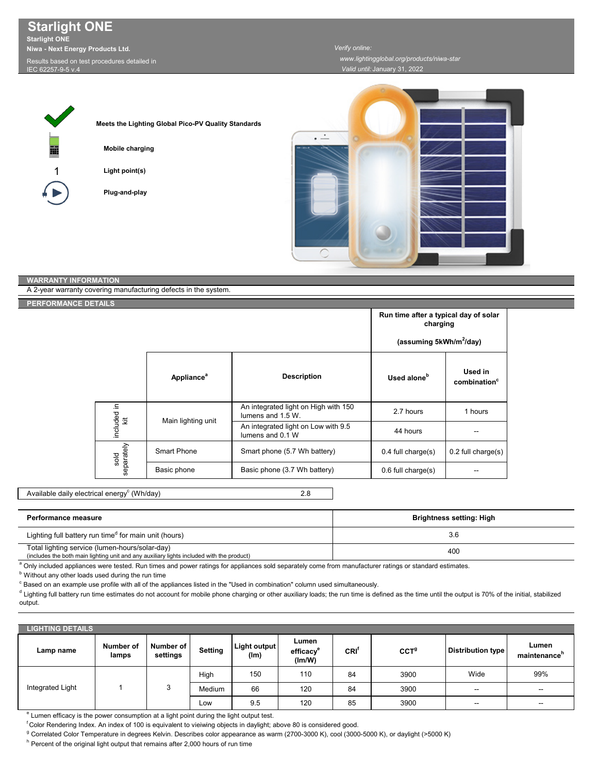**Starlight ONE Starlight ONE Niwa - Next Energy Products Ltd.**

sults based on test procedures detailed in

IEC 62257-9-5 v.4



**Meets the Lighting Global Pico-PV Quality Standards**

**Mobile charging**

**Light point(s)**

**Plug-and-play**



## **WARRANTY INFORMATION**

A 2-year warranty covering manufacturing defects in the system.

**ERFORMANCE D** 

|                    |                               | Run time after a typical day of solar<br>charging         |                         |                                     |
|--------------------|-------------------------------|-----------------------------------------------------------|-------------------------|-------------------------------------|
|                    |                               | (assuming 5kWh/m <sup>2</sup> /day)                       |                         |                                     |
|                    | <b>Appliance</b> <sup>a</sup> | <b>Description</b>                                        | Used alone <sup>b</sup> | Used in<br>combination <sup>c</sup> |
| included in        | Main lighting unit            | An integrated light on High with 150<br>lumens and 1.5 W. | 2.7 hours               | 1 hours                             |
|                    |                               | An integrated light on Low with 9.5<br>lumens and 0.1 W   | 44 hours                |                                     |
| separately<br>sold | Smart Phone                   | Smart phone (5.7 Wh battery)                              | $0.4$ full charge $(s)$ | $0.2$ full charge $(s)$             |
|                    | Basic phone                   | Basic phone (3.7 Wh battery)                              | $0.6$ full charge $(s)$ |                                     |

2.8 Available daily electrical energy $^{\rm c}$  (Wh/day)

| Performance measure                                                                                                                         | Brightness setting: High |
|---------------------------------------------------------------------------------------------------------------------------------------------|--------------------------|
| Lighting full battery run time <sup>d</sup> for main unit (hours)                                                                           | 3.6                      |
| Total lighting service (lumen-hours/solar-day)<br>(includes the both main lighting unit and any auxiliary lights included with the product) | 40 <sub>C</sub>          |

a Only included appliances were tested. Run times and power ratings for appliances sold separately come from manufacturer ratings or standard estimates.

**b** Without any other loads used during the run time

 $\degree$  Based on an example use profile with all of the appliances listed in the "Used in combination" column used simultaneously.

d Lighting full battery run time estimates do not account for mobile phone charging or other auxiliary loads; the run time is defined as the time until the output is 70% of the initial, stabilized output.

| <b>LIGHTING DETAILS</b> |                    |                       |         |                      |                                          |      |         |                          |                          |
|-------------------------|--------------------|-----------------------|---------|----------------------|------------------------------------------|------|---------|--------------------------|--------------------------|
| Lamp name               | Number of<br>lamps | Number of<br>settings | Setting | Light output<br>(lm) | Lumen<br>efficacy <sup>e</sup><br>(lm/W) | CRI' | $CCT^9$ | <b>Distribution type</b> | Lumen<br>maintenance"    |
| Integrated Light        |                    | ◠<br>J                | High    | 150                  | 110                                      | 84   | 3900    | Wide                     | 99%                      |
|                         |                    |                       | Medium  | 66                   | 120                                      | 84   | 3900    | $\overline{\phantom{a}}$ | $\sim$                   |
|                         |                    |                       | Low     | 9.5                  | 120                                      | 85   | 3900    | $\overline{\phantom{a}}$ | $\overline{\phantom{a}}$ |

<sup>e</sup> Lumen efficacy is the power consumption at a light point during the light output test.

f Color Rendering Index. An index of 100 is equivalent to vieiwing objects in daylight; above 80 is considered good.

<sup>g</sup> Correlated Color Temperature in degrees Kelvin. Describes color appearance as warm (2700-3000 K), cool (3000-5000 K), or daylight (>5000 K)

<sup>h</sup> Percent of the original light output that remains after 2,000 hours of run time